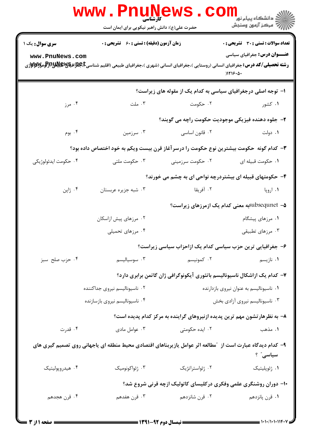|                                                                                                                         | www . Pn<br>حضرت علی(ع): دانش راهبر نیکویی برای ایمان است | <b>کارشناسی</b>  | ر دانشڪاه پيام نور <mark>−</mark><br>ا∛ مرڪز آزمون وسنڊش                                                                                                                     |  |  |
|-------------------------------------------------------------------------------------------------------------------------|-----------------------------------------------------------|------------------|------------------------------------------------------------------------------------------------------------------------------------------------------------------------------|--|--|
| <b>سری سوال :</b> یک ۱<br>www.PnuNews.com                                                                               | <b>زمان آزمون (دقیقه) : تستی : 60 ٪ تشریحی : 0</b>        |                  | <b>تعداد سوالات : تستی : 30 ٪ تشریحی : 0</b><br><b>عنـــوان درس:</b> جغرافیای سیاسی                                                                                          |  |  |
|                                                                                                                         |                                                           |                  | <b>رشته تحصیلی/کد درس:</b> جغرافیای انسانی (روستایی )،جغرافیای انسانی (شهری )،جغرافیای طبیعی (اقلیم شناسیCبهایالاویالاویالاویالاویالاوییالاوییالاوییالاوییالاویی<br>)1119.0. |  |  |
|                                                                                                                         |                                                           |                  | ا- توجه اصلی درجغرافیای سیاسی به کدام یک از مقوله های زیراست؟                                                                                                                |  |  |
| ۰۴ مرز                                                                                                                  | ۰۳ ملت                                                    | ۰۲ حکومت         | ۰۱ کشور                                                                                                                                                                      |  |  |
|                                                                                                                         |                                                           |                  | ۲- جلوه دهنده فیزیکی موجودیت حکومت راچه می گویند؟                                                                                                                            |  |  |
| ۰۴ بوم                                                                                                                  | ۰۳ سرزمین                                                 | ۰۲ قانون اساسی   | ۰۱ دولت                                                                                                                                                                      |  |  |
| ۳- کدام گونه حکومت بیشترین نوع حکومت را درسر آغاز قرن بیست ویکم به خود اختصاص داده بود؟                                 |                                                           |                  |                                                                                                                                                                              |  |  |
| ۰۴ حکومت ايدئولوژيکي                                                                                                    | ۰۳ حکومت ملتی                                             | ۰۲ حکومت سرزمینی | ۰۱ حکومت قبیله ای                                                                                                                                                            |  |  |
|                                                                                                                         |                                                           |                  | ۴- حکومتهای قبیله ای بیشتردرچه نواحی ای به چشم می خورند؟                                                                                                                     |  |  |
| ۰۴ ژاپن                                                                                                                 | ۰۳ شبه جزیره عربستان                                      | ۰۲ آفریقا        | ۰۱ اروپا                                                                                                                                                                     |  |  |
|                                                                                                                         |                                                           |                  | subsequnet –۵ساsubsequnet) که ازمرزهای زیراست؟                                                                                                                               |  |  |
|                                                                                                                         | ۰۲ مرزهای پیش ازاسکان                                     |                  | ۰۱ مرزهای پیشگام                                                                                                                                                             |  |  |
|                                                                                                                         | ۰۴ مرزهای تحمیلی                                          |                  | ۰۳ مرزهای تطبیقی                                                                                                                                                             |  |  |
|                                                                                                                         |                                                           |                  | ۶– جغرافیایی ترین حزب سیاسی کدام یک ازاحزاب سیاسی زیراست؟                                                                                                                    |  |  |
| ۰۴ حزب صلح سبز                                                                                                          | ۰۳ سوسیالیسم                                              | ۰۲ کمونیسم       | ۰۱ نازیسم                                                                                                                                                                    |  |  |
|                                                                                                                         |                                                           |                  | ۷– کدام یک ازاشکال ناسیونالیسم باتئوری آیکونوگرافی ژان گاتمن برابری دارد؟                                                                                                    |  |  |
|                                                                                                                         | ۰۲ ناسیونالیسم نیروی جداکننده                             |                  | ٠١ ناسيوناليسم به عنوان نيروى بازدارنده                                                                                                                                      |  |  |
|                                                                                                                         | ۰۴ ناسیونالیسم نیروی بازسازنده                            |                  | ۰۳ ناسیونالیسم نیروی آزادی بخش                                                                                                                                               |  |  |
|                                                                                                                         |                                                           |                  | ۸– به نظرهار تشون مهم ترین پدیده ازنیروهای گراینده به مرکز کدام پدیده است؟                                                                                                   |  |  |
| ۰۴ قدرت                                                                                                                 | ۰۳ عوامل مادی                                             | ۰۲ ایده حکومتی   | ١. مذهب                                                                                                                                                                      |  |  |
| ۹- کدام دیدگاه عبارت است از ″مطالعه اثر عوامل یازیربناهای اقتصادی محیط منطقه ای یاجهانی روی تصمیم گیری های<br>سیاسی ؓ ؟ |                                                           |                  |                                                                                                                                                                              |  |  |
| ۰۴ هیدروپولیتیک                                                                                                         | ۰۳ ژئواکونومیک                                            | ٠٢ ژئواستراتژيک  | ٠١ ژئوپليتيک                                                                                                                                                                 |  |  |
|                                                                                                                         |                                                           |                  | ۱۰- دوران روشنگری علمی وفکری درکلیسای کاتولیک ازچه قرنی شروع شد؟                                                                                                             |  |  |
| ۰۴ قرن هجدهم                                                                                                            | ۰۳ قرن هفدهم                                              | ۰۲ قرن شانزدهم   | ۰۱ قرن پانزدهم                                                                                                                                                               |  |  |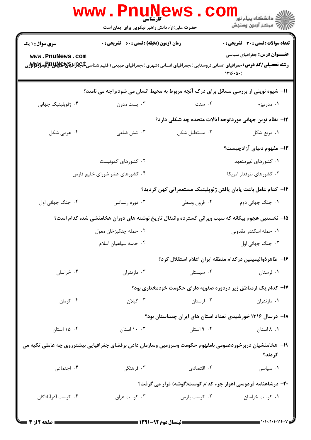|                                                                                                                      | <b>WWW.PNUNEWS</b><br><b>کارشناسی</b><br>حضرت علی(ع): دانش راهبر نیکویی برای ایمان است                                                                                                           |                | ڪ دانشڪاه پيام نور<br><mark>∕</mark> > مرڪز آزمون وسنڊش         |  |  |
|----------------------------------------------------------------------------------------------------------------------|--------------------------------------------------------------------------------------------------------------------------------------------------------------------------------------------------|----------------|-----------------------------------------------------------------|--|--|
| <b>سری سوال : ۱ یک</b>                                                                                               | زمان آزمون (دقیقه) : تستی : 60 ٪ تشریحی : 0                                                                                                                                                      |                | <b>تعداد سوالات : تستی : 30 ٪ تشریحی : 0</b>                    |  |  |
| www.PnuNews.com                                                                                                      | <b>رشته تحصیلی/کد درس:</b> جغرافیای انسانی (روستایی )،جغرافیای انسانی (شهری )،جغرافیای طبیعی (اقلیم شناسیCبهایاتیالاتیاللاتالوتالاتالاتی استان میناسفیهای استان مورد استان مورد استان مورد استان |                | <b>عنـــوان درس:</b> جغرافیای سیاسی<br>1119.0(                  |  |  |
| 11- شیوه نوینی از بررسی مسائل برای درک آنچه مربوط به محیط انسان می شود،راچه می نامند؟                                |                                                                                                                                                                                                  |                |                                                                 |  |  |
| ۰۴ ژئوپلیتیک جهانی                                                                                                   | ۰۳ پست مدرن                                                                                                                                                                                      | ۰۲ سنت         | ۰۱ مدرنیزم                                                      |  |  |
|                                                                                                                      |                                                                                                                                                                                                  |                | ۱۲–  نظام نوین جهانی موردتوجه ایالات متحده چه شکلی دارد؟        |  |  |
| ۰۴ هرمی شکل                                                                                                          | ۰۳ شش ضلعی                                                                                                                                                                                       | ٠٢ مستطيل شكل  | ١. مربع شكل                                                     |  |  |
|                                                                                                                      |                                                                                                                                                                                                  |                | ۱۳- مفهوم دنیای آزادچیست؟                                       |  |  |
|                                                                                                                      | ۰۲ کشورهای کمونیست                                                                                                                                                                               |                | ۰۱ کشورهای غیرمتعهد                                             |  |  |
|                                                                                                                      | ۰۴ کشورهای عضو شورای خلیج فارس                                                                                                                                                                   |                | ۰۳ کشورهای طرفدار امریکا                                        |  |  |
|                                                                                                                      |                                                                                                                                                                                                  |                | 1۴– كدام عامل باعث پايان يافتن ژئوپليتيک مستعمراتي كهن گرديد؟   |  |  |
| ۰۴ جنگ جهانی اول                                                                                                     | ۰۳ دوره رنسانس                                                                                                                                                                                   | ۰۲ قرون وسطى   | ۰۱ جنگ جهانی دوم                                                |  |  |
| ۱۵– نخستین هجوم بیگانه که سبب ویرانی گسترده وانتقال تاریخ نوشته های دوران هخامنشی شد، کدام است؟                      |                                                                                                                                                                                                  |                |                                                                 |  |  |
|                                                                                                                      | ۰۲ حمله چنگیزخان مغول                                                                                                                                                                            |                | ۰۱ حمله اسکندر مقدونی                                           |  |  |
|                                                                                                                      | ۰۴ حمله سپاهیان اسلام                                                                                                                                                                            |                | ۰۳ جنگ جهانی اول                                                |  |  |
|                                                                                                                      |                                                                                                                                                                                                  |                | ۱۶– طاهرذواليمينين دركدام منطقه ايران اعلام استقلال كرد؟        |  |  |
| ۰۴ خراسان                                                                                                            | ۰۳ مازندران                                                                                                                                                                                      | ۰۲ سیستان است. | ۰۱ لرستان                                                       |  |  |
|                                                                                                                      |                                                                                                                                                                                                  |                | ۱۷– کدام یک ازمناطق زیر دردوره صفویه دارای حکومت خودمختاری بود؟ |  |  |
| ۰۴ کرمان                                                                                                             | ۰۳ گیلان                                                                                                                                                                                         | ۰۲ لرستان      | ۰۱ مازندران                                                     |  |  |
|                                                                                                                      |                                                                                                                                                                                                  |                | ۱۸– درسال ۱۳۱۶ خورشیدی تعداد استان های ایران چنداستان بود؟      |  |  |
| ۰۴ ۱۵ استان                                                                                                          | ۰. ۱۰ استان                                                                                                                                                                                      | ۰۲ استان       | ۰۱ ۸ استان                                                      |  |  |
| ۱۹– هخامنشیان دربرخوردعمومی بامفهوم حکومت وسرزمین وسازمان دادن برفضای جغرافیایی بیشترروی چه عاملی تکیه می<br>کر دند؟ |                                                                                                                                                                                                  |                |                                                                 |  |  |
| ۰۴ اجتماعی                                                                                                           | ۰۳ فرهنگی                                                                                                                                                                                        | ۰۲ اقتصادی     | ٠١ سياسى                                                        |  |  |
|                                                                                                                      | ۲۰– درشاهنامه فردوسی اهواز جزء کدام کوست(گوشه) قرار می گرفت؟                                                                                                                                     |                |                                                                 |  |  |
| ۰۴ کوست آذرآبادگان                                                                                                   | ۰۳ کوست عراق                                                                                                                                                                                     | ۰۲ کوست پارس   | ۰۱ کوست خراسان                                                  |  |  |
| ـــ صفحه 12ز 3                                                                                                       |                                                                                                                                                                                                  |                |                                                                 |  |  |